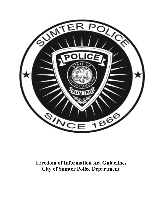

# **Freedom of Information Act Guidelines City of Sumter Police Department**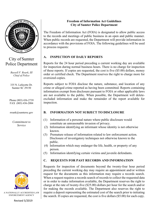

# City of Sumter Police Department

*Russell F. Roark, III Chief of Police*

335 N. Lafayette Dr. Sumter SC 29150

Phone (803) 436-2739 FAX (803) 436-2084

rroark@sumtersc.gov

*Commitment to Service*



A NATIONALLY ACCREDITED LAW ENFORCEMENT AGENCY

#### **Freedom of Information Act Guidelines City of Sumter Police Department**

The Freedom of Information Act (FOIA) is designated to allow public access to the records and meetings of public business in an open and public manner. When public records are requested, the Department will provide information in accordance with the provisions of FOIA. The following guidelines will be used to process requests:

# **A. INSPECTION OF DAILY REPORTS**

Reports for the 24 hour period preceding a current working day are available for inspection during normal business hours. There is no charge for inspection of these reports. If copies are requested, the cost is five (\$5.00) dollars, money order or certified check. The Department reserves the right to charge more for oversized copies.

Reports subject to FOIA disclose the nature, substance, and location of any crime or alleged crime reported as having been committed. Reports containing information exempt from disclosure pursuant to FOIA or other applicable laws are not available to the public. When possible, the Department will deleteexcluded information and make the remainder of the report available for inspection.

## **B. INFORMATION NOT SUBJECT TO DISCLOSURE**

- (1) Information of a personal nature where public disclosure would constitute an unreasonable invasion of privacy.
- (2) Information identifying an informant whose identity is not otherwise known.
- (3) Premature release of information related to law enforcement action. Disclosure of investigatory techniques not otherwise known to the public.
- (4) Information which may endanger the life, health, or property of any person.
- (5) Information identifying certain victims and juvenile defendants.

## **C. REQUESTS FOR PAST RECORDS AND INFORMATION**

Requests for inspection of documents beyond the twenty-four hour period preceding the current working day may require an appointment and/or written request for the documents as this information may require a records search. When a request requires a records search of records to collect the requested data or in order to make information available, the Department reserves the right to charge at the rate of twenty-five (\$25.00) dollars per hour for the search and/or for making the records available. The Department also reserves the right to require a deposit representing the estimated cost of the search prior to initiating the search. If copies are requested, the cost is five dollars (\$5.00) for each copy.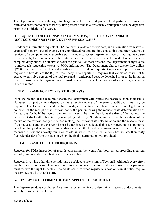The Department reserves the right to charge more for oversized pages. The department requires that estimated costs, not to exceed twenty-five percent of the total reasonably anticipated cost, be deposited prior to the initiation of a search.

#### **D. REQUESTS FOR EXTENSIVE INFORMATION, SPECIFIC DATA, AND/OR REQUESTS NECESSITATING EXTENSIVE SEARCHES**

Freedom of information requests (FOIA) for extensive data, specific data, and information from several years and/or other types of extensive or complicated request are time-consuming and often require the services of a computer knowledgeable staff member to access Department records. During the course of the search, the computer and the staff member will not be available to conduct other business, complete daily duties, or otherwise assist the public. For these reasons, the Department charges a fee to individuals requesting extensive FOIA information. The Department charges twenty-five dollars (\$25.00) per hour for searches and assistance related to these requests. Copies made pursuant to the request are five dollars (\$5.00) for each copy. The department requires that estimated costs, not to exceed twenty-five percent of the total reasonably anticipated cost, be deposited prior to the initiation of an extensive search. Payment must be made via certified check or money order made payable to the City of Sumter.

#### **E. TIME FRAME FOR EXTENSIVE REQUESTS**

Upon the receipt of the required deposit, the Department will initiate the search as soon as possible. However, completion may depend on the extensive nature of the search; additional time may be required. The Department shall within ten days (excepting Saturdays, Sundays, and legal public holidays) of the receipt of the request, notify the person making the request of its determination and the reasons for it. If the record is more than twenty-four months old at the date of the request, the department shall within twenty days (excepting Saturdays, Sundays, and legal public holidays) of the receipt of the request, notify the person making the request of its determination and the reasons for it. If the request is granted, the record must be furnished or made available for inspection or copying no later than thirty calendar days from the date on which the final determination was provided, unless the records are more than twenty four months old, in which case the public body has no later than thirty five calendar days from the date on which the final determination was provided.

#### **F. TIME FRAME FOR OTHER REQUESTS**

Requests for FOIA inspection of records concerning the twenty-four hour period preceding a current workday are available on a first come, first serve basis.

Requests involving other time periods may be subject to provisions of Section E. Although every effort will be made to honor simple requests for information on a first come, first serve basis. The Department must reserve the right to decline immediate searches when regular business or normal duties require the services of all available staff.

#### **G. REVIEW TO DETERMINE IF FOIA APPLIES TO DOCUMENTS**

The Department does not charge for examination and reviews to determine if records or documents are subject to FOIA disclosure